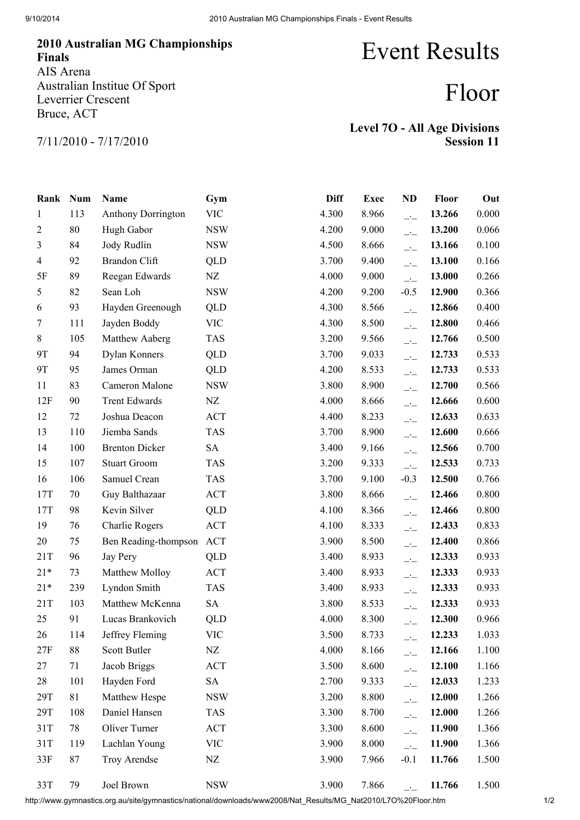## 2010 Australian MG Championships Finals AIS Arena Australian Institue Of Sport Leverrier Crescent Bruce, ACT

## Event Results

## Floor

7/11/2010 - 7/17/2010

| <b>Level 70 - All Age Divisions</b> |                   |
|-------------------------------------|-------------------|
|                                     | <b>Session 11</b> |

| Rank Num       |     | Name                  | Gym        | <b>Diff</b> | <b>Exec</b> | <b>ND</b>                | Floor  | Out   |
|----------------|-----|-----------------------|------------|-------------|-------------|--------------------------|--------|-------|
| 1              | 113 | Anthony Dorrington    | <b>VIC</b> | 4.300       | 8.966       | $\overline{\phantom{a}}$ | 13.266 | 0.000 |
| $\overline{2}$ | 80  | Hugh Gabor            | <b>NSW</b> | 4.200       | 9.000       | $\overline{\phantom{a}}$ | 13.200 | 0.066 |
| 3              | 84  | Jody Rudlin           | <b>NSW</b> | 4.500       | 8.666       | $-1$                     | 13.166 | 0.100 |
| $\overline{4}$ | 92  | <b>Brandon Clift</b>  | QLD        | 3.700       | 9.400       | $\overline{\phantom{a}}$ | 13.100 | 0.166 |
| 5F             | 89  | Reegan Edwards        | NZ         | 4.000       | 9.000       | $\overline{\phantom{a}}$ | 13.000 | 0.266 |
| 5              | 82  | Sean Loh              | <b>NSW</b> | 4.200       | 9.200       | $-0.5$                   | 12.900 | 0.366 |
| 6              | 93  | Hayden Greenough      | <b>QLD</b> | 4.300       | 8.566       | $\overline{\phantom{a}}$ | 12.866 | 0.400 |
| 7              | 111 | Jayden Boddy          | <b>VIC</b> | 4.300       | 8.500       | $\overline{\phantom{a}}$ | 12.800 | 0.466 |
| 8              | 105 | Matthew Aaberg        | <b>TAS</b> | 3.200       | 9.566       | $\overline{\phantom{a}}$ | 12.766 | 0.500 |
| 9T             | 94  | Dylan Konners         | QLD        | 3.700       | 9.033       | $\overline{\phantom{a}}$ | 12.733 | 0.533 |
| 9T             | 95  | James Orman           | QLD        | 4.200       | 8.533       | $\overline{\phantom{a}}$ | 12.733 | 0.533 |
| 11             | 83  | Cameron Malone        | <b>NSW</b> | 3.800       | 8.900       | $\overline{\phantom{a}}$ | 12.700 | 0.566 |
| 12F            | 90  | <b>Trent Edwards</b>  | NZ         | 4.000       | 8.666       | $\overline{\phantom{a}}$ | 12.666 | 0.600 |
| 12             | 72  | Joshua Deacon         | <b>ACT</b> | 4.400       | 8.233       | $\overline{\phantom{a}}$ | 12.633 | 0.633 |
| 13             | 110 | Jiemba Sands          | <b>TAS</b> | 3.700       | 8.900       | $-1$                     | 12.600 | 0.666 |
| 14             | 100 | <b>Brenton Dicker</b> | SA         | 3.400       | 9.166       | $\overline{\phantom{a}}$ | 12.566 | 0.700 |
| 15             | 107 | <b>Stuart Groom</b>   | <b>TAS</b> | 3.200       | 9.333       | $\overline{\phantom{a}}$ | 12.533 | 0.733 |
| 16             | 106 | Samuel Crean          | <b>TAS</b> | 3.700       | 9.100       | $-0.3$                   | 12.500 | 0.766 |
| 17T            | 70  | Guy Balthazaar        | <b>ACT</b> | 3.800       | 8.666       | $\overline{\phantom{a}}$ | 12.466 | 0.800 |
| 17T            | 98  | Kevin Silver          | QLD        | 4.100       | 8.366       | $\overline{\phantom{a}}$ | 12.466 | 0.800 |
| 19             | 76  | Charlie Rogers        | <b>ACT</b> | 4.100       | 8.333       | $\overline{\phantom{a}}$ | 12.433 | 0.833 |
| 20             | 75  | Ben Reading-thompson  | <b>ACT</b> | 3.900       | 8.500       | $\overline{\phantom{a}}$ | 12.400 | 0.866 |
| 21T            | 96  | Jay Pery              | QLD        | 3.400       | 8.933       | $\overline{\phantom{a}}$ | 12.333 | 0.933 |
| $21*$          | 73  | Matthew Molloy        | <b>ACT</b> | 3.400       | 8.933       | $\overline{\phantom{a}}$ | 12.333 | 0.933 |
| $21*$          | 239 | Lyndon Smith          | <b>TAS</b> | 3.400       | 8.933       | $\overline{\phantom{a}}$ | 12.333 | 0.933 |
| 21T            | 103 | Matthew McKenna       | <b>SA</b>  | 3.800       | 8.533       | $\overline{\phantom{a}}$ | 12.333 | 0.933 |
| 25             | 91  | Lucas Brankovich      | <b>QLD</b> | 4.000       | 8.300       | $\overline{\phantom{a}}$ | 12.300 | 0.966 |
| 26             | 114 | Jeffrey Fleming       | <b>VIC</b> | 3.500       | 8.733       | $\overline{\phantom{a}}$ | 12.233 | 1.033 |
| 27F            | 88  | Scott Butler          | NZ         | 4.000       | 8.166       | $\overline{\phantom{a}}$ | 12.166 | 1.100 |
| 27             | 71  | Jacob Briggs          | ACT        | 3.500       | 8.600       | $\overline{\phantom{a}}$ | 12.100 | 1.166 |
| 28             | 101 | Hayden Ford           | <b>SA</b>  | 2.700       | 9.333       | $\overline{\phantom{a}}$ | 12.033 | 1.233 |
| 29T            | 81  | Matthew Hespe         | <b>NSW</b> | 3.200       | 8.800       | $\overline{\phantom{a}}$ | 12.000 | 1.266 |
| 29T            | 108 | Daniel Hansen         | <b>TAS</b> | 3.300       | 8.700       | $\overline{\phantom{a}}$ | 12.000 | 1.266 |
| 31T            | 78  | Oliver Turner         | <b>ACT</b> | 3.300       | 8.600       | $\overline{\phantom{a}}$ | 11.900 | 1.366 |
| 31T            | 119 | Lachlan Young         | <b>VIC</b> | 3.900       | 8.000       | $\overline{a}$           | 11.900 | 1.366 |
| 33F            | 87  | Troy Arendse          | NZ         | 3.900       | 7.966       | $-0.1$                   | 11.766 | 1.500 |
| 33T            | 79  | Joel Brown            | <b>NSW</b> | 3.900       | 7.866       |                          | 11.766 | 1.500 |

http://www.gymnastics.org.au/site/gymnastics/national/downloads/www2008/Nat\_Results/MG\_Nat2010/L7O%20Floor.htm 1/2